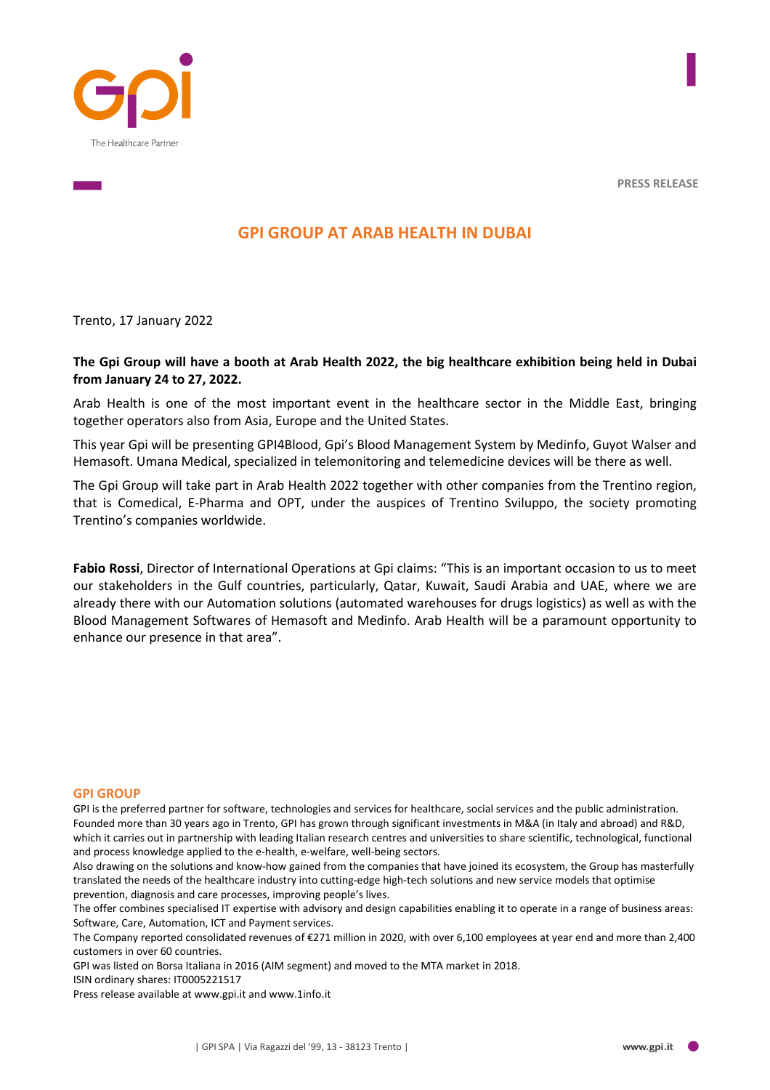

# **GPI GROUP AT ARAB HEALTH IN DUBAI**

Trento, 17 January 2022

## **The Gpi Group will have a booth at Arab Health 2022, the big healthcare exhibition being held in Dubai from January 24 to 27, 2022.**

Arab Health is one of the most important event in the healthcare sector in the Middle East, bringing together operators also from Asia, Europe and the United States.

This year Gpi will be presenting GPI4Blood, Gpi's Blood Management System by Medinfo, Guyot Walser and Hemasoft. Umana Medical, specialized in telemonitoring and telemedicine devices will be there as well.

The Gpi Group will take part in Arab Health 2022 together with other companies from the Trentino region, that is Comedical, E-Pharma and OPT, under the auspices of Trentino Sviluppo, the society promoting Trentino's companies worldwide.

**Fabio Rossi**, Director of International Operations at Gpi claims: "This is an important occasion to us to meet our stakeholders in the Gulf countries, particularly, Qatar, Kuwait, Saudi Arabia and UAE, where we are already there with our Automation solutions (automated warehouses for drugs logistics) as well as with the Blood Management Softwares of Hemasoft and Medinfo. Arab Health will be a paramount opportunity to enhance our presence in that area".

#### **GPI GROUP**

GPI is the preferred partner for software, technologies and services for healthcare, social services and the public administration. Founded more than 30 years ago in Trento, GPI has grown through significant investments in M&A (in Italy and abroad) and R&D, which it carries out in partnership with leading Italian research centres and universities to share scientific, technological, functional and process knowledge applied to the e-health, e-welfare, well-being sectors.

Also drawing on the solutions and know-how gained from the companies that have joined its ecosystem, the Group has masterfully translated the needs of the healthcare industry into cutting-edge high-tech solutions and new service models that optimise prevention, diagnosis and care processes, improving people's lives.

The offer combines specialised IT expertise with advisory and design capabilities enabling it to operate in a range of business areas: Software, Care, Automation, ICT and Payment services.

The Company reported consolidated revenues of €271 million in 2020, with over 6,100 employees at year end and more than 2,400 customers in over 60 countries.

GPI was listed on Borsa Italiana in 2016 (AIM segment) and moved to the MTA market in 2018.

ISIN ordinary shares: IT0005221517

Press release available at www.gpi.it and www.1info.it